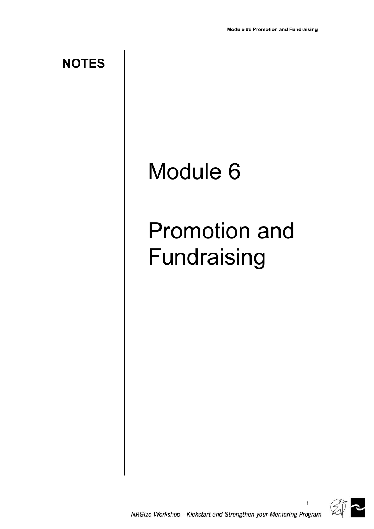# **NOTES**

# Module 6

# Promotion and Fundraising



1

NRGize Workshop - Kickstart and Strengthen your Mentoring Program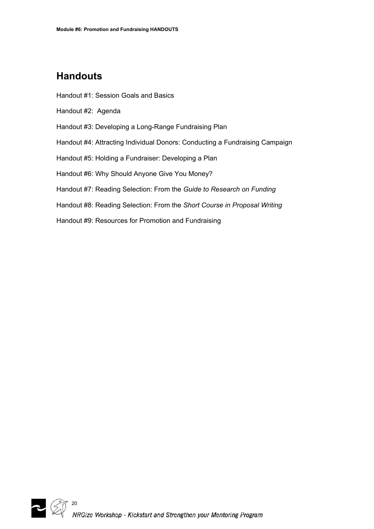## **Handouts**

- Handout #1: Session Goals and Basics
- Handout #2: Agenda
- Handout #3: Developing a Long-Range Fundraising Plan
- Handout #4: Attracting Individual Donors: Conducting a Fundraising Campaign
- Handout #5: Holding a Fundraiser: Developing a Plan
- Handout #6: Why Should Anyone Give You Money?
- Handout #7: Reading Selection: From the *Guide to Research on Funding*
- Handout #8: Reading Selection: From the *Short Course in Proposal Writing*
- Handout #9: Resources for Promotion and Fundraising

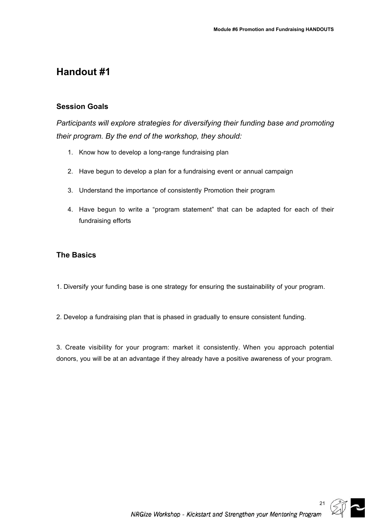### **Handout #1**

#### **Session Goals**

*Participants will explore strategies for diversifying their funding base and promoting their program. By the end of the workshop, they should:*

- 1. Know how to develop a long-range fundraising plan
- 2. Have begun to develop a plan for a fundraising event or annual campaign
- 3. Understand the importance of consistently Promotion their program
- 4. Have begun to write a "program statement" that can be adapted for each of their fundraising efforts

#### **The Basics**

- 1. Diversify your funding base is one strategy for ensuring the sustainability of your program.
- 2. Develop a fundraising plan that is phased in gradually to ensure consistent funding.

3. Create visibility for your program: market it consistently. When you approach potential donors, you will be at an advantage if they already have a positive awareness of your program.

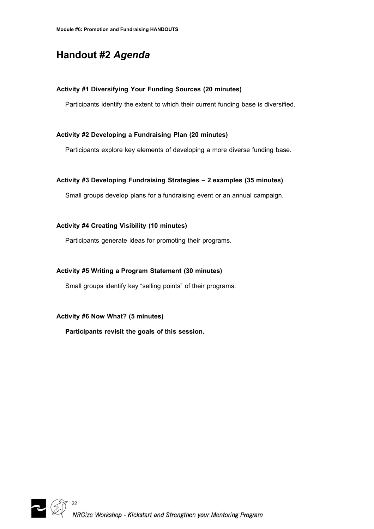### **Handout #2** *Agenda*

#### **Activity #1 Diversifying Your Funding Sources (20 minutes)**

Participants identify the extent to which their current funding base is diversified.

#### **Activity #2 Developing a Fundraising Plan (20 minutes)**

Participants explore key elements of developing a more diverse funding base.

#### **Activity #3 Developing Fundraising Strategies – 2 examples (35 minutes)**

Small groups develop plans for a fundraising event or an annual campaign.

#### **Activity #4 Creating Visibility (10 minutes)**

Participants generate ideas for promoting their programs.

#### **Activity #5 Writing a Program Statement (30 minutes)**

Small groups identify key "selling points" of their programs.

#### **Activity #6 Now What? (5 minutes)**

**Participants revisit the goals of this session.**

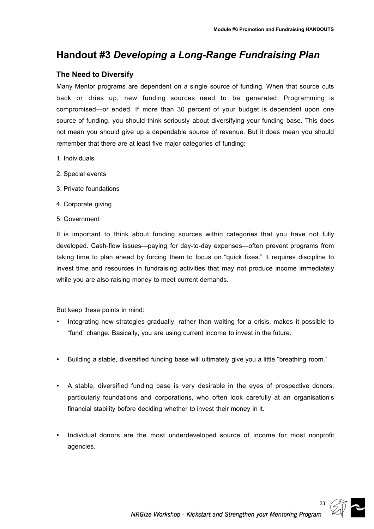# **Handout #3** *Developing a Long-Range Fundraising Plan*

#### **The Need to Diversify**

Many Mentor programs are dependent on a single source of funding. When that source cuts back or dries up, new funding sources need to be generated. Programming is compromised—or ended. If more than 30 percent of your budget is dependent upon one source of funding, you should think seriously about diversifying your funding base. This does not mean you should give up a dependable source of revenue. But it does mean you should remember that there are at least five major categories of funding:

- 1. Individuals
- 2. Special events
- 3. Private foundations
- 4. Corporate giving
- 5. Government

It is important to think about funding sources within categories that you have not fully developed. Cash-flow issues—paying for day-to-day expenses—often prevent programs from taking time to plan ahead by forcing them to focus on "quick fixes." It requires discipline to invest time and resources in fundraising activities that may not produce income immediately while you are also raising money to meet current demands.

But keep these points in mind:

- Integrating new strategies gradually, rather than waiting for a crisis, makes it possible to "fund" change. Basically, you are using current income to invest in the future.
- Building a stable, diversified funding base will ultimately give you a little "breathing room."
- A stable, diversified funding base is very desirable in the eyes of prospective donors, particularly foundations and corporations, who often look carefully at an organisation's financial stability before deciding whether to invest their money in it.
- Individual donors are the most underdeveloped source of income for most nonprofit agencies.



23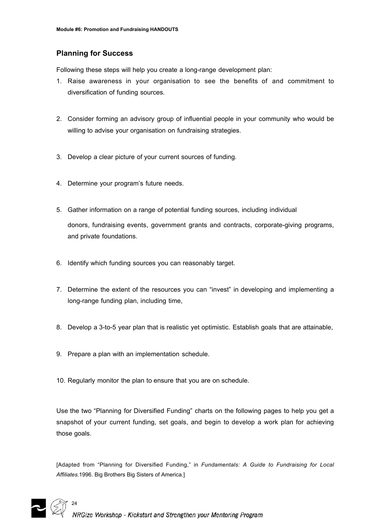#### **Planning for Success**

Following these steps will help you create a long-range development plan:

- 1. Raise awareness in your organisation to see the benefits of and commitment to diversification of funding sources.
- 2. Consider forming an advisory group of influential people in your community who would be willing to advise your organisation on fundraising strategies.
- 3. Develop a clear picture of your current sources of funding.
- 4. Determine your program's future needs.
- 5. Gather information on a range of potential funding sources, including individual donors, fundraising events, government grants and contracts, corporate-giving programs, and private foundations.
- 6. Identify which funding sources you can reasonably target.
- 7. Determine the extent of the resources you can "invest" in developing and implementing a long-range funding plan, including time,
- 8. Develop a 3-to-5 year plan that is realistic yet optimistic. Establish goals that are attainable,
- 9. Prepare a plan with an implementation schedule.
- 10. Regularly monitor the plan to ensure that you are on schedule.

Use the two "Planning for Diversified Funding" charts on the following pages to help you get a snapshot of your current funding, set goals, and begin to develop a work plan for achieving those goals.

[Adapted from "Planning for Diversified Funding," in *Fundamentals: A Guide to Fundraising for Local Affiliates.*1996. Big Brothers Big Sisters of America.]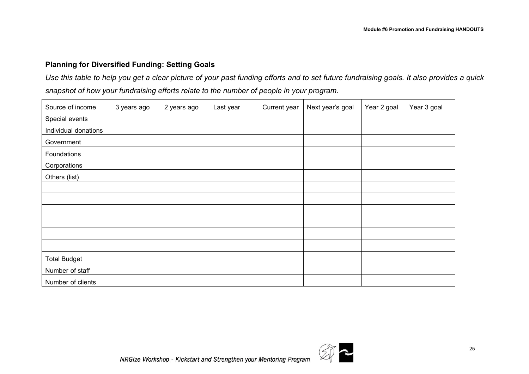#### **Planning for Diversified Funding: Setting Goals**

Use this table to help you get a clear picture of your past funding efforts and to set future fundraising goals. It also provides a quick *snapshot of how your fundraising efforts relate to the number of people in your program.*

| Source of income     | 3 years ago | 2 years ago | Last year | Current year | Next year's goal | Year 2 goal | Year 3 goal |
|----------------------|-------------|-------------|-----------|--------------|------------------|-------------|-------------|
| Special events       |             |             |           |              |                  |             |             |
| Individual donations |             |             |           |              |                  |             |             |
| Government           |             |             |           |              |                  |             |             |
| Foundations          |             |             |           |              |                  |             |             |
| Corporations         |             |             |           |              |                  |             |             |
| Others (list)        |             |             |           |              |                  |             |             |
|                      |             |             |           |              |                  |             |             |
|                      |             |             |           |              |                  |             |             |
|                      |             |             |           |              |                  |             |             |
|                      |             |             |           |              |                  |             |             |
|                      |             |             |           |              |                  |             |             |
|                      |             |             |           |              |                  |             |             |
| <b>Total Budget</b>  |             |             |           |              |                  |             |             |
| Number of staff      |             |             |           |              |                  |             |             |
| Number of clients    |             |             |           |              |                  |             |             |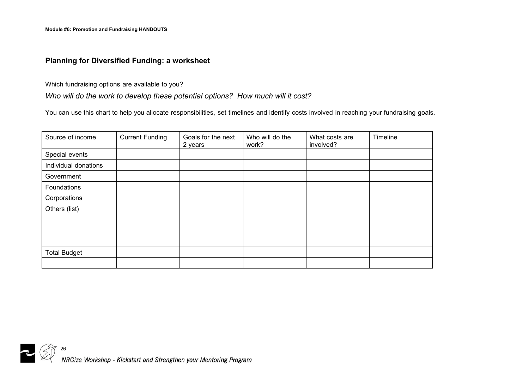**Module #6: Promotion and Fundraising HANDOUTS**

#### **Planning for Diversified Funding: a worksheet**

Which fundraising options are available to you?

#### *Who will do the work to develop these potential options? How much will it cost?*

You can use this chart to help you allocate responsibilities, set timelines and identify costs involved in reaching your fundraising goals.

| Source of income     | <b>Current Funding</b> | Goals for the next<br>2 years | Who will do the<br>work? | What costs are<br>involved? | Timeline |
|----------------------|------------------------|-------------------------------|--------------------------|-----------------------------|----------|
| Special events       |                        |                               |                          |                             |          |
| Individual donations |                        |                               |                          |                             |          |
| Government           |                        |                               |                          |                             |          |
| Foundations          |                        |                               |                          |                             |          |
| Corporations         |                        |                               |                          |                             |          |
| Others (list)        |                        |                               |                          |                             |          |
|                      |                        |                               |                          |                             |          |
|                      |                        |                               |                          |                             |          |
|                      |                        |                               |                          |                             |          |
| <b>Total Budget</b>  |                        |                               |                          |                             |          |
|                      |                        |                               |                          |                             |          |

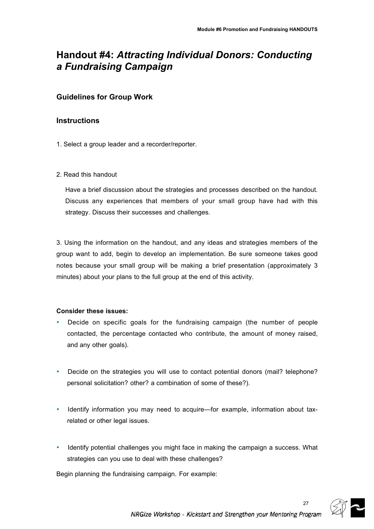# **Handout #4:** *Attracting Individual Donors: Conducting a Fundraising Campaign*

#### **Guidelines for Group Work**

#### **Instructions**

- 1. Select a group leader and a recorder/reporter.
- 2. Read this handout

Have a brief discussion about the strategies and processes described on the handout. Discuss any experiences that members of your small group have had with this strategy. Discuss their successes and challenges.

3. Using the information on the handout, and any ideas and strategies members of the group want to add, begin to develop an implementation. Be sure someone takes good notes because your small group will be making a brief presentation (approximately 3 minutes) about your plans to the full group at the end of this activity.

#### **Consider these issues:**

- Decide on specific goals for the fundraising campaign (the number of people contacted, the percentage contacted who contribute, the amount of money raised, and any other goals).
- Decide on the strategies you will use to contact potential donors (mail? telephone? personal solicitation? other? a combination of some of these?).
- Identify information you may need to acquire—for example, information about taxrelated or other legal issues.
- Identify potential challenges you might face in making the campaign a success. What strategies can you use to deal with these challenges?

Begin planning the fundraising campaign. For example: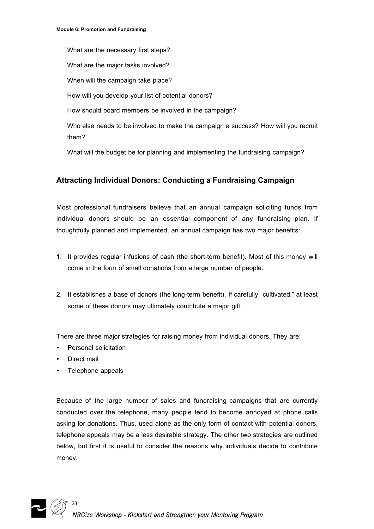What are the necessary first steps? What are the major tasks involved? When will the campaign take place? How will you develop your list of potential donors? How should board members be involved in the campaign? Who else needs to be involved to make the campaign a success? How will you recruit them?

What will the budget be for planning and implementing the fundraising campaign?

#### **Attracting Individual Donors: Conducting a Fundraising Campaign**

Most professional fundraisers believe that an annual campaign soliciting funds from individual donors should be an essential component of any fundraising plan. If thoughtfully planned and implemented, an annual campaign has two major benefits:

- 1. It provides regular infusions of cash (the short-term benefit). Most of this money will come in the form of small donations from a large number of people.
- 2. It establishes a base of donors (the long-term benefit). If carefully "cultivated," at least some of these donors may ultimately contribute a major gift.

There are three major strategies for raising money from individual donors. They are:

- Personal solicitation
- Direct mail
- Telephone appeals

Because of the large number of sales and fundraising campaigns that are currently conducted over the telephone, many people tend to become annoyed at phone calls asking for donations. Thus, used alone as the only form of contact with potential donors, telephone appeals may be a less desirable strategy. The other two strategies are outlined below, but first it is useful to consider the reasons why individuals decide to contribute money.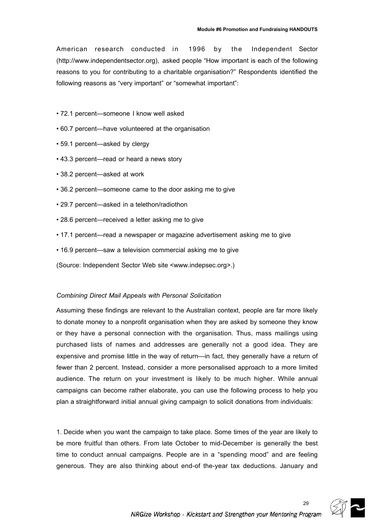American research conducted in 1996 by the Independent Sector (http://www.independentsector.org), asked people "How important is each of the following reasons to you for contributing to a charitable organisation?" Respondents identified the following reasons as "very important" or "somewhat important":

• 72.1 percent—someone I know well asked

- 60.7 percent—have volunteered at the organisation
- 59.1 percent—asked by clergy
- 43.3 percent—read or heard a news story
- 38.2 percent—asked at work
- 36.2 percent—someone came to the door asking me to give
- 29.7 percent—asked in a telethon/radiothon
- 28.6 percent—received a letter asking me to give
- 17.1 percent—read a newspaper or magazine advertisement asking me to give
- 16.9 percent—saw a television commercial asking me to give

(Source: Independent Sector Web site <www.indepsec.org>.)

#### *Combining Direct Mail Appeals with Personal Solicitation*

Assuming these findings are relevant to the Australian context, people are far more likely to donate money to a nonprofit organisation when they are asked by someone they know or they have a personal connection with the organisation. Thus, mass mailings using purchased lists of names and addresses are generally not a good idea. They are expensive and promise little in the way of return—in fact, they generally have a return of fewer than 2 percent. Instead, consider a more personalised approach to a more limited audience. The return on your investment is likely to be much higher. While annual campaigns can become rather elaborate, you can use the following process to help you plan a straightforward initial annual giving campaign to solicit donations from individuals:

1. Decide when you want the campaign to take place. Some times of the year are likely to be more fruitful than others. From late October to mid-December is generally the best time to conduct annual campaigns. People are in a "spending mood" and are feeling generous. They are also thinking about end-of the-year tax deductions. January and

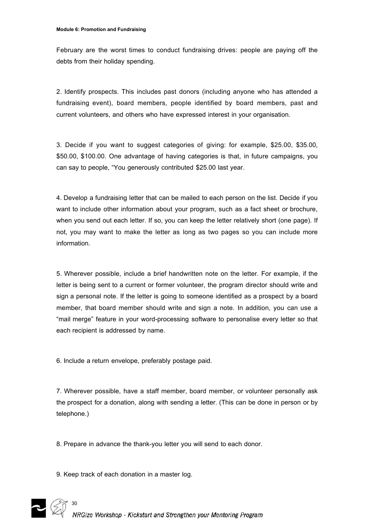February are the worst times to conduct fundraising drives: people are paying off the debts from their holiday spending.

2. Identify prospects. This includes past donors (including anyone who has attended a fundraising event), board members, people identified by board members, past and current volunteers, and others who have expressed interest in your organisation.

3. Decide if you want to suggest categories of giving: for example, \$25.00, \$35.00, \$50.00, \$100.00. One advantage of having categories is that, in future campaigns, you can say to people, "You generously contributed \$25.00 last year.

4. Develop a fundraising letter that can be mailed to each person on the list. Decide if you want to include other information about your program, such as a fact sheet or brochure, when you send out each letter. If so, you can keep the letter relatively short (one page). If not, you may want to make the letter as long as two pages so you can include more information.

5. Wherever possible, include a brief handwritten note on the letter. For example, if the letter is being sent to a current or former volunteer, the program director should write and sign a personal note. If the letter is going to someone identified as a prospect by a board member, that board member should write and sign a note. In addition, you can use a "mail merge" feature in your word-processing software to personalise every letter so that each recipient is addressed by name.

6. Include a return envelope, preferably postage paid.

7. Wherever possible, have a staff member, board member, or volunteer personally ask the prospect for a donation, along with sending a letter. (This can be done in person or by telephone.)

8. Prepare in advance the thank-you letter you will send to each donor.

9. Keep track of each donation in a master log.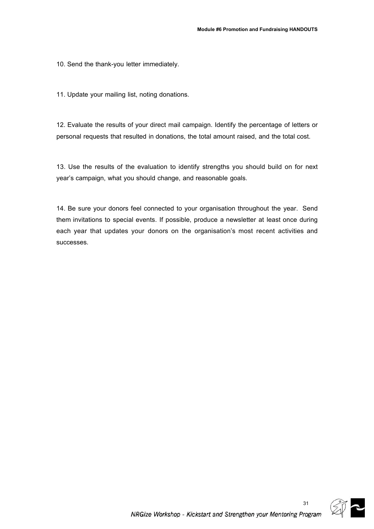10. Send the thank-you letter immediately.

11. Update your mailing list, noting donations.

12. Evaluate the results of your direct mail campaign. Identify the percentage of letters or personal requests that resulted in donations, the total amount raised, and the total cost.

13. Use the results of the evaluation to identify strengths you should build on for next year's campaign, what you should change, and reasonable goals.

14. Be sure your donors feel connected to your organisation throughout the year. Send them invitations to special events. If possible, produce a newsletter at least once during each year that updates your donors on the organisation's most recent activities and successes.

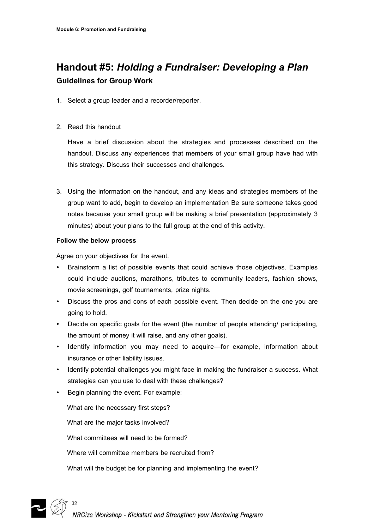# **Handout #5:** *Holding a Fundraiser: Developing a Plan* **Guidelines for Group Work**

- 1. Select a group leader and a recorder/reporter.
- 2. Read this handout

Have a brief discussion about the strategies and processes described on the handout. Discuss any experiences that members of your small group have had with this strategy. Discuss their successes and challenges.

3. Using the information on the handout, and any ideas and strategies members of the group want to add, begin to develop an implementation Be sure someone takes good notes because your small group will be making a brief presentation (approximately 3 minutes) about your plans to the full group at the end of this activity.

#### **Follow the below process**

Agree on your objectives for the event.

- Brainstorm a list of possible events that could achieve those objectives. Examples could include auctions, marathons, tributes to community leaders, fashion shows, movie screenings, golf tournaments, prize nights.
- Discuss the pros and cons of each possible event. Then decide on the one you are going to hold.
- Decide on specific goals for the event (the number of people attending/ participating, the amount of money it will raise, and any other goals).
- Identify information you may need to acquire—for example, information about insurance or other liability issues.
- Identify potential challenges you might face in making the fundraiser a success. What strategies can you use to deal with these challenges?
- Begin planning the event. For example:

What are the necessary first steps?

What are the major tasks involved?

What committees will need to be formed?

Where will committee members be recruited from?

What will the budget be for planning and implementing the event?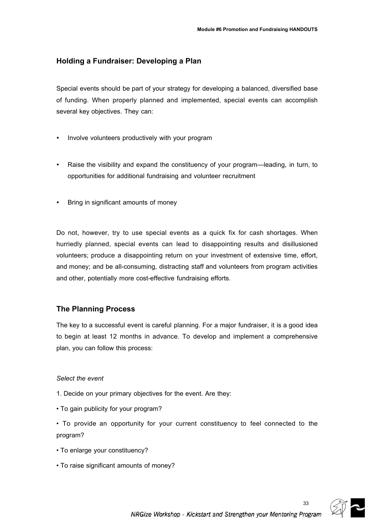#### **Holding a Fundraiser: Developing a Plan**

Special events should be part of your strategy for developing a balanced, diversified base of funding. When properly planned and implemented, special events can accomplish several key objectives. They can:

- Involve volunteers productively with your program
- Raise the visibility and expand the constituency of your program—leading, in turn, to opportunities for additional fundraising and volunteer recruitment
- Bring in significant amounts of money

Do not, however, try to use special events as a quick fix for cash shortages. When hurriedly planned, special events can lead to disappointing results and disillusioned volunteers; produce a disappointing return on your investment of extensive time, effort, and money; and be all-consuming, distracting staff and volunteers from program activities and other, potentially more cost-effective fundraising efforts.

#### **The Planning Process**

The key to a successful event is careful planning. For a major fundraiser, it is a good idea to begin at least 12 months in advance. To develop and implement a comprehensive plan, you can follow this process:

#### *Select the event*

- 1. Decide on your primary objectives for the event. Are they:
- To gain publicity for your program?
- To provide an opportunity for your current constituency to feel connected to the program?
- To enlarge your constituency?
- To raise significant amounts of money?

33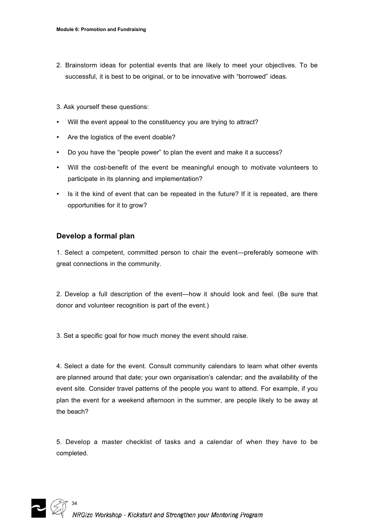- 2. Brainstorm ideas for potential events that are likely to meet your objectives. To be successful, it is best to be original, or to be innovative with "borrowed" ideas.
- 3. Ask yourself these questions:
- Will the event appeal to the constituency you are trying to attract?
- Are the logistics of the event doable?
- Do you have the "people power" to plan the event and make it a success?
- Will the cost-benefit of the event be meaningful enough to motivate volunteers to participate in its planning and implementation?
- Is it the kind of event that can be repeated in the future? If it is repeated, are there opportunities for it to grow?

#### **Develop a formal plan**

1. Select a competent, committed person to chair the event—preferably someone with great connections in the community.

2. Develop a full description of the event—how it should look and feel. (Be sure that donor and volunteer recognition is part of the event.)

3. Set a specific goal for how much money the event should raise.

4. Select a date for the event. Consult community calendars to learn what other events are planned around that date; your own organisation's calendar; and the availability of the event site. Consider travel patterns of the people you want to attend. For example, if you plan the event for a weekend afternoon in the summer, are people likely to be away at the beach?

5. Develop a master checklist of tasks and a calendar of when they have to be completed.

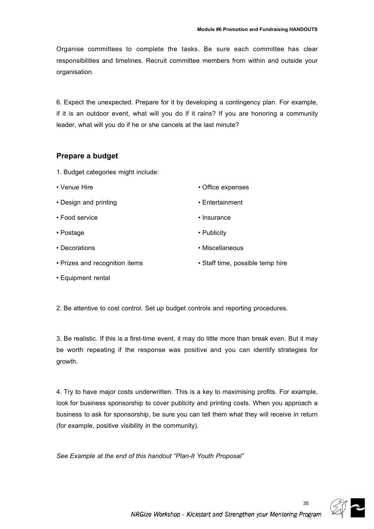Organise committees to complete the tasks. Be sure each committee has clear responsibilities and timelines. Recruit committee members from within and outside your organisation.

6. Expect the unexpected. Prepare for it by developing a contingency plan. For example, if it is an outdoor event, what will you do if it rains? If you are honoring a community leader, what will you do if he or she cancels at the last minute?

#### **Prepare a budget**

• Equipment rental

1. Budget categories might include:

• Venue Hire • Design and printing • Food service • Postage • Decorations • Prizes and recognition items • Office expenses • Entertainment • Insurance • Publicity • Miscellaneous • Staff time, possible temp hire

2. Be attentive to cost control. Set up budget controls and reporting procedures.

3. Be realistic. If this is a first-time event, it may do little more than break even. But it may be worth repeating if the response was positive and you can identify strategies for growth.

4. Try to have major costs underwritten. This is a key to maximising profits. For example, look for business sponsorship to cover publicity and printing costs. When you approach a business to ask for sponsorship, be sure you can tell them what they will receive in return (for example, positive visibility in the community).

*See Example at the end of this handout "Plan-It Youth Proposal"*

35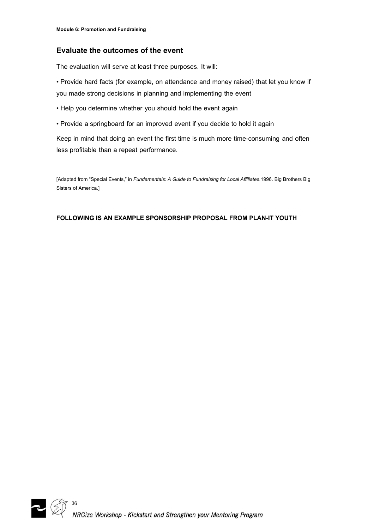#### **Evaluate the outcomes of the event**

The evaluation will serve at least three purposes. It will:

• Provide hard facts (for example, on attendance and money raised) that let you know if you made strong decisions in planning and implementing the event

- Help you determine whether you should hold the event again
- Provide a springboard for an improved event if you decide to hold it again

Keep in mind that doing an event the first time is much more time-consuming and often less profitable than a repeat performance.

[Adapted from "Special Events," in *Fundamentals: A Guide to Fundraising for Local Affiliates.*1996. Big Brothers Big Sisters of America.]

#### **FOLLOWING IS AN EXAMPLE SPONSORSHIP PROPOSAL FROM PLAN-IT YOUTH**

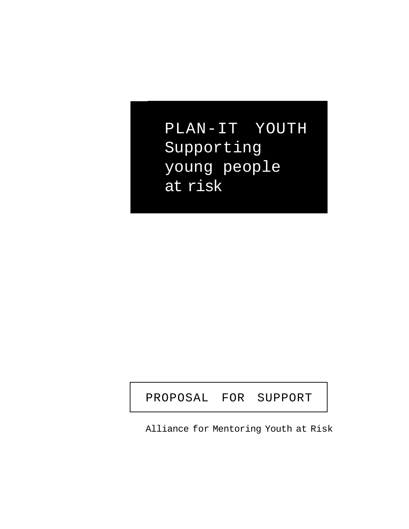PLAN-IT YOUTH Supporting young people at risk

PROPOSAL FOR SUPPORT

Alliance for Mentoring Youth at Risk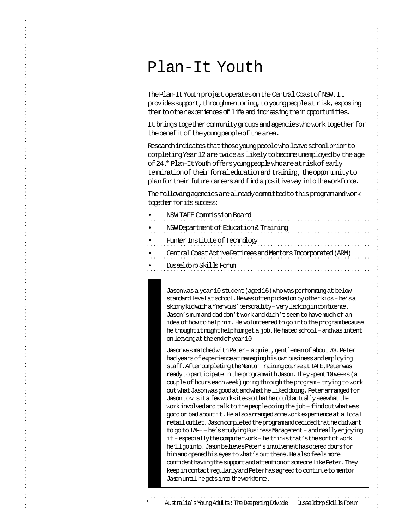# Plan-It Youth

The Plan-It Youth project operates on the Central Coastof NSW. It provides support, through mentoring, to young people at risk, exposing them to other experiences of life and increasing their opportunities.

It brings together community groups and agencies who work together for the benefit of the young people of the area.

Research indicates that those young people who leave school prior to completing Year 12 are twice as likely to become unemployed by the age of 24.\* Plan-ItYouth offers young people whoare atriskof early terminationof their formaleducation and training, theopportunityto plan for their future careers and find a positive way into the workforce.

The following agencies are already committed to this program and work together for its success:

- NSW TAFE Commission Board
- NSW Department of Education & Training
- Hunter Institute of Technology
- Central Coast Active Retirees and Mentors Incorporated (ARM)
- DusseldorpSkills Forum

Jason was a year 10 student (aged 16) who was performing at below standard level at school. He was often picked on by other kids – he's a skinnykid with a "nervous" personality-very lacking inconfidence. Jason's mum and dad don't work and didn't seem to have much of an idea of how to help him. He volunteered to go into the program because he thought it might help him get a job. He hated school – and was intent on leaving at the end of year 10

Jason was matched with Peter – a quiet, gentle man of about 70. Peter had years of experience at managing his own business and employing staff. After completing the Mentor Training course at TAFE, Peter was ready to participate in the program with Jason. They spent 10 weeks (a couple of hours each week) going through the program – trying to work out what Jason was good at and what he liked doing. Peter arranged for Jason tovisit afew worksites so thathe could actually see what the work involved and talk to the people doing the job – find out what was good or bad about it. He also arranged some work experience at a local retail outlet. Jason completed the program and decided that he did want to go to TAFE – he's studying Business Management – and really enjoying it – especially the computer work – he thinks that's the sort of work he'll go into. Jason believesPeter's involvement hasopened doors for him and opened his eyes to what's out there. He also feels more confident having the support and attention of someone like Peter. They keep in contact regularly and Peter has agreed to continue to mentor Jason until hegets into theworkforce.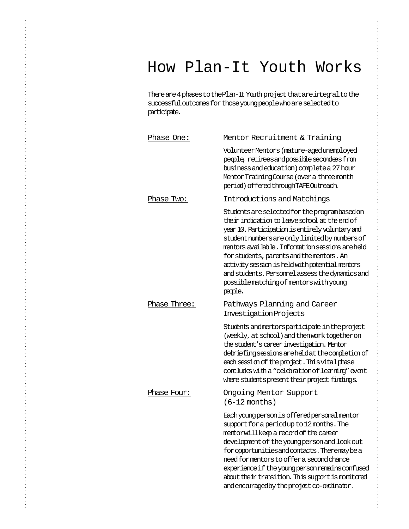# How Plan-It Youth Works

There are 4phasestothePlan-It Youth project thatareintegralto the successful outcomes for those young people who are selected to participate.

| Phase One:   | Mentor Recruitment & Training                                                                                                                                                                                                                                                                                                                                                                                                                                   |
|--------------|-----------------------------------------------------------------------------------------------------------------------------------------------------------------------------------------------------------------------------------------------------------------------------------------------------------------------------------------------------------------------------------------------------------------------------------------------------------------|
|              | Volunteer Mentors (mature-agedunemployed<br>people, retireesandpossible secondees from<br>business and education) complete a 27 hour<br>Mentor Training Course (over a threemonth<br>period) of fered through TAFE Outreach.                                                                                                                                                                                                                                    |
| Phase Two:   | Introductions and Matchings                                                                                                                                                                                                                                                                                                                                                                                                                                     |
|              | Students are selected for the programbased on<br>their indication to leave school at the end of<br>year 10. Participation is entirely voluntary and<br>student numbers are only limited by numbers of<br>mentors available. Informationsessions are held<br>for students, parents and thementors. An<br>activity session is held with potential mentors<br>and students. Personnel assess the dynamics and<br>possiblematching of mentors with young<br>people. |
| Phase Three: | Pathways Planning and Career<br>Investigation Projects                                                                                                                                                                                                                                                                                                                                                                                                          |
|              | Students andmertorsparticipate in the project<br>(weekly, at school) and then work together on<br>the student's career investigation. Mentor<br>debriefingsessions are held at the completion of<br>each session of the project. This vital phase<br>corcludes with a "celebration of learning" event<br>where student spresent their project findings.                                                                                                         |
| Phase Four:  | Ongoing Mentor Support<br>$(6-12$ months)                                                                                                                                                                                                                                                                                                                                                                                                                       |
|              | Eachyoung person is offered personal mentor<br>support for a periodup to 12 months. The<br>mertorwillkeep a record of the career<br>development of the young person and look out<br>for opportunities and contacts. Theremay be a<br>need for mentors to offer a second chance<br>experience if the young person remains confused<br>about their transition. This support is monitored<br>and encouraged by the project co-ordinator.                           |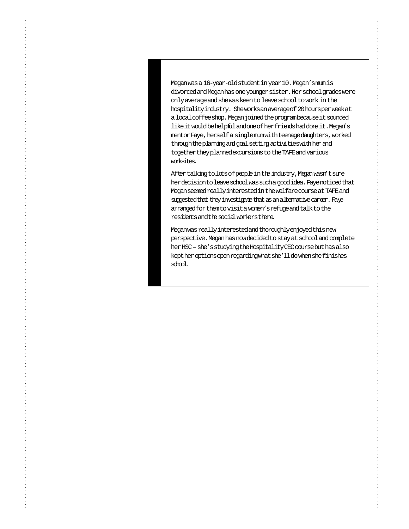Megan was a 16-year-old student in year 10. Megan's mum is divorced and Megan has one younger sister. Her school grades were only average and she was keen to leave school to work in the hospitality industry. She works an average of 20 hours per week at a local coffee shop. Megan joined the program because it sounded like it would be helpful andone of herfriends had done it. Megan's mentor Faye, herself a single mum with teenage daughters, worked throughthe planning and goal setting activitieswith her and together they planned excursions to the TAFE and various worksites.

After talking tolots of people in the industry, Megan wasn't sure her decision to leave school was such a good idea. Faye noticed that Megan seemed really interested in the welfare course at TAFE and suggested that they investigate that as an alternative career. Faye arranged for them to visit a women's refuge and talk to the residents andthe social workersthere.

Megan was really interested and thoroughly enjoyed this new perspective. Megan has now decided to stay at school and complete her HSC – she's studying the Hospitality CEC course but has also kept her options open regarding what she'll do when she finishes school.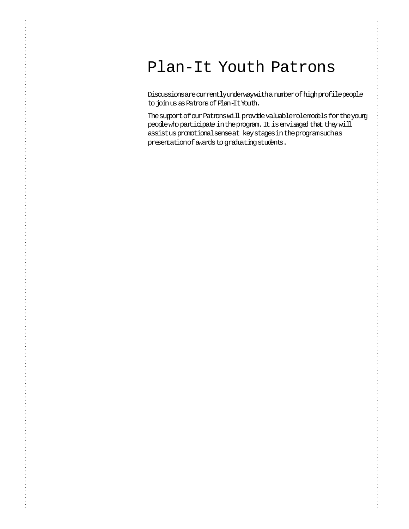# Plan-It Youth Patrons

Discussions are currently underway with a number of high profile people to joinus as Patrons of Plan-It Youth.

The support of our Patrons will provide valuablerole models for the young people who participate inthe program. It is envisaged that they will assist us promotional sense at key stages in the program such as presentationof awards to graduating students.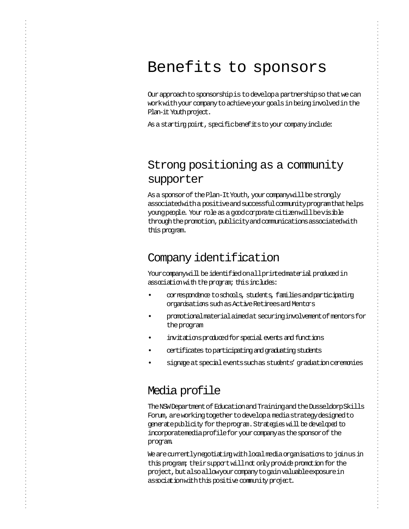# Benefits to sponsors

Our approach to sponsorship is to develop a partnership so that we can work with your company to achieve your goals in being involved in the Plan-it Youthproject.

As a starting point, specific benefits to your company include:

# Strong positioning as a community supporter

As a sponsor of the Plan-It Youth, your company will be strongly associated with a positive and successful community program that helps youngpeople. Your role as agoodcorporate citizenwillbevisible through the promotion, publicity and communications associated with thisprogram.

### Company identification

Your companywill be identified onall printedmaterial produced in associationwiththeprogram; thisincludes:

- correspondencetoschools, students,familiesandparticipating organisations such as Active Retirees and Mentors
- promotional material aimed at securing involvement of mentors for the program
- invitationsproducedforspecial events and functions
- certificatestoparticipatingandgraduatingstudents
- signage atspecial eventssuch as students' graduation ceremonies

### Media profile

The NSW Department of Education and Training and the Dusseldorp Skills Forum, are working together to develop a media strategy designed to generatepublicity fortheprogram.Strategies will be developed to incorporate media profile for your company as the sponsor of the program.

We are currently negotiating with local media organisations to joinus in this program; their support will not only provide promotion for the project, but also allow your company to gain valuable exposure in associationwiththis positive community project.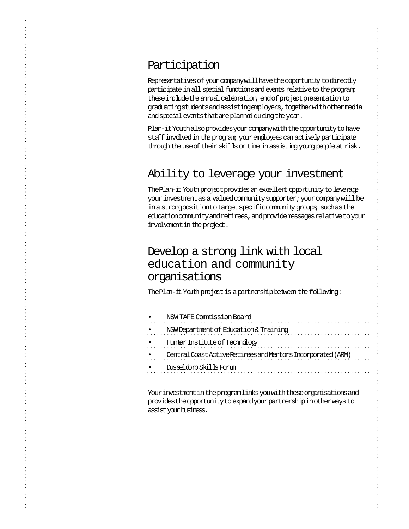# Participation

Representatives of your company willhave the opportunity to directly participate in all special functions and events relative to the program; these include the annual celebration, endofproject presentation to graduating students and assisting employers, together with other media and special eventsthat are planned during the year.

Plan-it Youth also provides your company with the opportunity to have staff involved in the program; your employees can actively participate through the use of their skills or time in assisting young people at risk.

## Ability to leverage your investment

ThePlan-it Youth projectprovides an excellent opportunity to leverage your investment as a valued community supporter; your company will be in a strongpositionto target specificcommunity groups, such as the education community and retirees, and provide messages relative to your involvement in the project.

## Develop a strong link with local education and community organisations

ThePlan-it Youth project is a partnership between the following:

| NSW TAFE Commission Board                                    |
|--------------------------------------------------------------|
| NSW Department of Education & Training                       |
| Hunter Institute of Tedmology                                |
| Central Coast Active Retirees and Mentors Incorporated (ARM) |
| Dusseldorp Skills Forum                                      |

Your investment in the program links you with these organisations and provides the opportunity to expand your partnership in other ways to assistyourbusiness.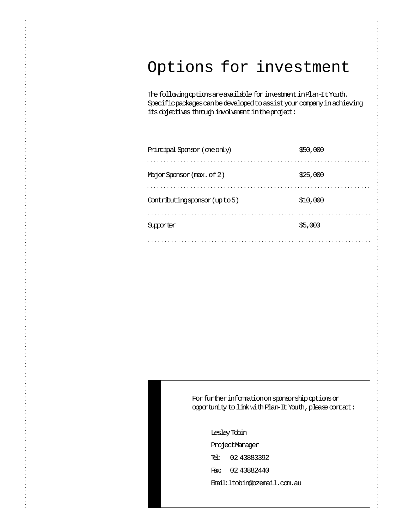# Options for investment

The following options are available for investment in Plan-It Youth. Specific packages can be developed to assist your company in achieving its objectives through involvementintheproject:

| Principal Sponsor (one only)  | \$50,000 |
|-------------------------------|----------|
|                               |          |
| Major Sponsor (max. of 2)     | \$25,000 |
|                               |          |
| Contributingsponsor (up to 5) | \$10,000 |
|                               |          |
| Supporter                     | \$5,000  |
|                               |          |

For further informationon sponsorship options or opportunity tolink with Plan-It Youth,please contact:

LesleyTobin

ProjectManager

Tel: 02 43883392

Fax: 02 43882440

Email:ltobin@ozemail.com.au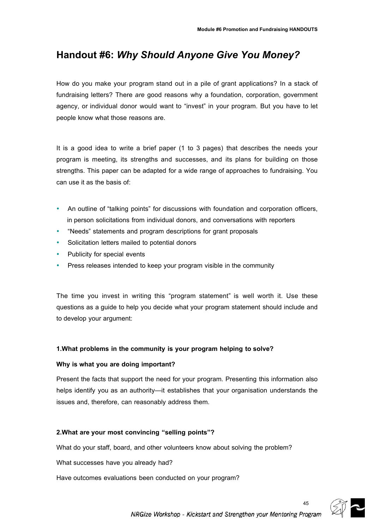## **Handout #6:** *Why Should Anyone Give You Money?*

How do you make your program stand out in a pile of grant applications? In a stack of fundraising letters? There *are* good reasons why a foundation, corporation, government agency, or individual donor would want to "invest" in your program. But you have to let people know what those reasons are.

It is a good idea to write a brief paper (1 to 3 pages) that describes the needs your program is meeting, its strengths and successes, and its plans for building on those strengths. This paper can be adapted for a wide range of approaches to fundraising. You can use it as the basis of:

- An outline of "talking points" for discussions with foundation and corporation officers, in person solicitations from individual donors, and conversations with reporters
- "Needs" statements and program descriptions for grant proposals
- Solicitation letters mailed to potential donors
- Publicity for special events
- Press releases intended to keep your program visible in the community

The time you invest in writing this "program statement" is well worth it. Use these questions as a guide to help you decide what your program statement should include and to develop your argument:

#### **1.What problems in the community is your program helping to solve?**

#### **Why is what you are doing important?**

Present the facts that support the need for your program. Presenting this information also helps identify you as an authority—it establishes that your organisation understands the issues and, therefore, can reasonably address them.

#### **2.What are your most convincing "selling points"?**

What do your staff, board, and other volunteers know about solving the problem?

What successes have you already had?

Have outcomes evaluations been conducted on your program?

45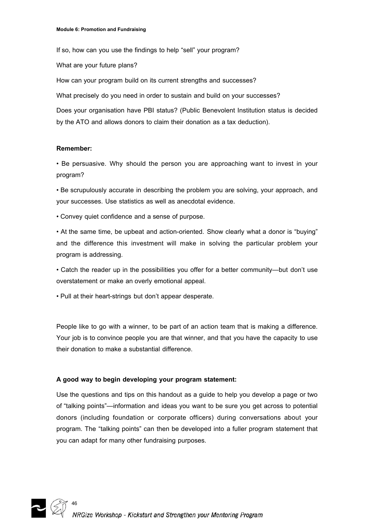If so, how can you use the findings to help "sell" your program?

What are your future plans?

How can your program build on its current strengths and successes?

What precisely do you need in order to sustain and build on your successes?

Does your organisation have PBI status? (Public Benevolent Institution status is decided by the ATO and allows donors to claim their donation as a tax deduction).

#### **Remember:**

• Be persuasive. Why should the person you are approaching want to invest in your program?

• Be scrupulously accurate in describing the problem you are solving, your approach, and your successes. Use statistics as well as anecdotal evidence.

• Convey quiet confidence and a sense of purpose.

• At the same time, be upbeat and action-oriented. Show clearly what a donor is "buying" and the difference this investment will make in solving the particular problem your program is addressing.

• Catch the reader up in the possibilities you offer for a better community—but don't use overstatement or make an overly emotional appeal.

• Pull at their heart-strings but don't appear desperate.

People like to go with a winner, to be part of an action team that is making a difference. Your job is to convince people you are that winner, and that you have the capacity to use their donation to make a substantial difference.

#### **A good way to begin developing your program statement:**

Use the questions and tips on this handout as a guide to help you develop a page or two of "talking points"—information and ideas you want to be sure you get across to potential donors (including foundation or corporate officers) during conversations about your program. The "talking points" can then be developed into a fuller program statement that you can adapt for many other fundraising purposes.

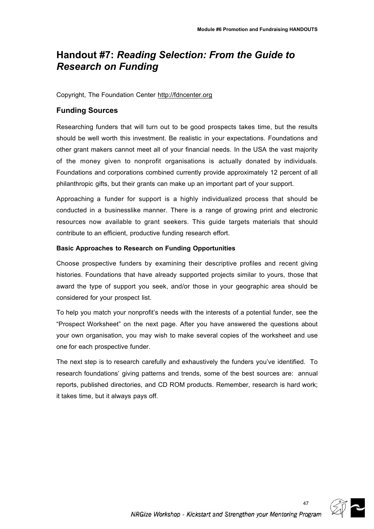# **Handout #7:** *Reading Selection: From the Guide to Research on Funding*

Copyright, The Foundation Center http://fdncenter.org

#### **Funding Sources**

Researching funders that will turn out to be good prospects takes time, but the results should be well worth this investment. Be realistic in your expectations. Foundations and other grant makers cannot meet all of your financial needs. In the USA the vast majority of the money given to nonprofit organisations is actually donated by individuals. Foundations and corporations combined currently provide approximately 12 percent of all philanthropic gifts, but their grants can make up an important part of your support.

Approaching a funder for support is a highly individualized process that should be conducted in a businesslike manner. There is a range of growing print and electronic resources now available to grant seekers. This guide targets materials that should contribute to an efficient, productive funding research effort.

#### **Basic Approaches to Research on Funding Opportunities**

Choose prospective funders by examining their descriptive profiles and recent giving histories. Foundations that have already supported projects similar to yours, those that award the type of support you seek, and/or those in your geographic area should be considered for your prospect list.

To help you match your nonprofit's needs with the interests of a potential funder, see the "Prospect Worksheet" on the next page. After you have answered the questions about your own organisation, you may wish to make several copies of the worksheet and use one for each prospective funder.

The next step is to research carefully and exhaustively the funders you've identified. To research foundations' giving patterns and trends, some of the best sources are: annual reports, published directories, and CD ROM products. Remember, research is hard work; it takes time, but it always pays off.

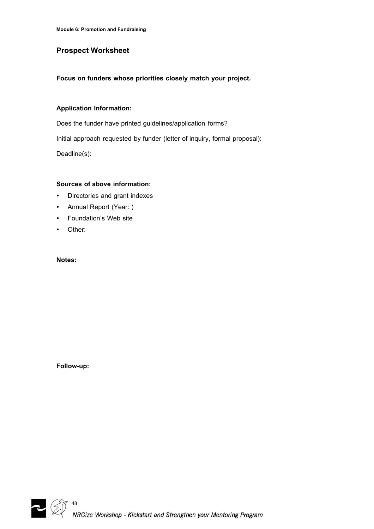#### **Prospect Worksheet**

#### **Focus on funders whose priorities closely match your project.**

#### **Application Information:**

Does the funder have printed guidelines/application forms?

Initial approach requested by funder (letter of inquiry, formal proposal):

Deadline(s):

#### **Sources of above information:**

- Directories and grant indexes
- Annual Report (Year: )
- Foundation's Web site
- Other:

**Notes:**

**Follow-up:**

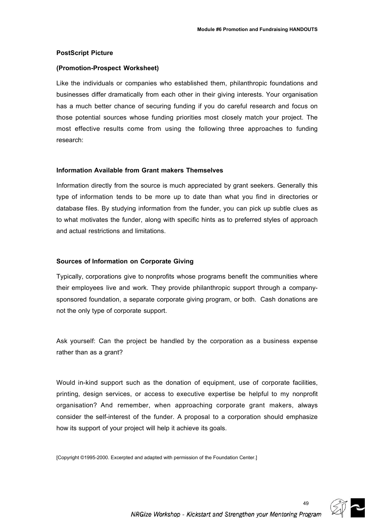#### **PostScript Picture**

#### **(Promotion-Prospect Worksheet)**

Like the individuals or companies who established them, philanthropic foundations and businesses differ dramatically from each other in their giving interests. Your organisation has a much better chance of securing funding if you do careful research and focus on those potential sources whose funding priorities most closely match your project. The most effective results come from using the following three approaches to funding research:

#### **Information Available from Grant makers Themselves**

Information directly from the source is much appreciated by grant seekers. Generally this type of information tends to be more up to date than what you find in directories or database files. By studying information from the funder, you can pick up subtle clues as to what motivates the funder, along with specific hints as to preferred styles of approach and actual restrictions and limitations.

#### **Sources of Information on Corporate Giving**

Typically, corporations give to nonprofits whose programs benefit the communities where their employees live and work. They provide philanthropic support through a companysponsored foundation, a separate corporate giving program, or both. Cash donations are not the only type of corporate support.

Ask yourself: Can the project be handled by the corporation as a business expense rather than as a grant?

Would in-kind support such as the donation of equipment, use of corporate facilities, printing, design services, or access to executive expertise be helpful to my nonprofit organisation? And remember, when approaching corporate grant makers, always consider the self-interest of the funder. A proposal to a corporation should emphasize how its support of your project will help it achieve its goals.

[Copyright ©1995-2000. Excerpted and adapted with permission of the Foundation Center.]

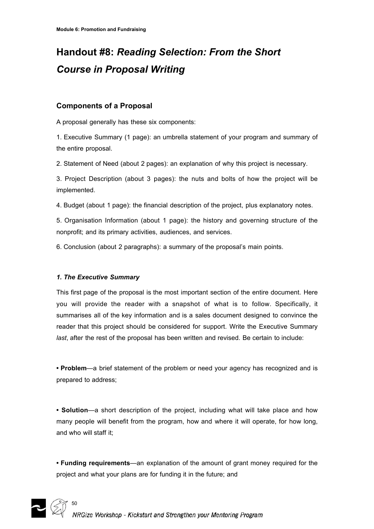# **Handout #8:** *Reading Selection: From the Short Course in Proposal Writing*

#### **Components of a Proposal**

A proposal generally has these six components:

1. Executive Summary (1 page): an umbrella statement of your program and summary of the entire proposal.

2. Statement of Need (about 2 pages): an explanation of why this project is necessary.

3. Project Description (about 3 pages): the nuts and bolts of how the project will be implemented.

4. Budget (about 1 page): the financial description of the project, plus explanatory notes.

5. Organisation Information (about 1 page): the history and governing structure of the nonprofit; and its primary activities, audiences, and services.

6. Conclusion (about 2 paragraphs): a summary of the proposal's main points.

#### *1. The Executive Summary*

This first page of the proposal is the most important section of the entire document. Here you will provide the reader with a snapshot of what is to follow. Specifically, it summarises all of the key information and is a sales document designed to convince the reader that this project should be considered for support. Write the Executive Summary *last*, after the rest of the proposal has been written and revised. Be certain to include:

**• Problem**—a brief statement of the problem or need your agency has recognized and is prepared to address;

**• Solution**—a short description of the project, including what will take place and how many people will benefit from the program, how and where it will operate, for how long, and who will staff it;

**• Funding requirements**—an explanation of the amount of grant money required for the project and what your plans are for funding it in the future; and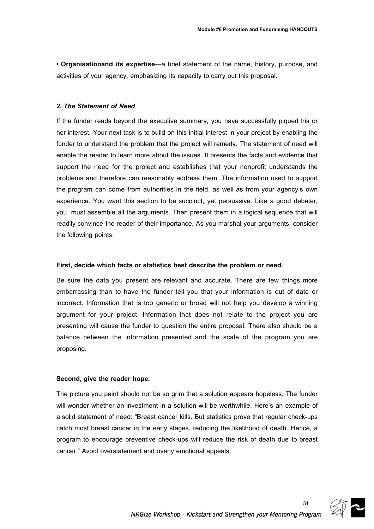**• Organisationand its expertise**—a brief statement of the name, history, purpose, and activities of your agency, emphasizing its capacity to carry out this proposal.

#### *2. The Statement of Need*

If the funder reads beyond the executive summary, you have successfully piqued his or her interest. Your next task is to build on this initial interest in your project by enabling the funder to understand the problem that the project will remedy. The statement of need will enable the reader to learn more about the issues. It presents the facts and evidence that support the need for the project and establishes that your nonprofit understands the problems and therefore can reasonably address them. The information used to support the program can come from authorities in the field, as well as from your agency's own experience. You want this section to be succinct, yet persuasive. Like a good debater, you must assemble all the arguments. Then present them in a logical sequence that will readily convince the reader of their importance. As you marshal your arguments, consider the following points:

#### **First, decide which facts or statistics best describe the problem or need.**

Be sure the data you present are relevant and accurate. There are few things more embarrassing than to have the funder tell you that your information is out of date or incorrect. Information that is too generic or broad will not help you develop a winning argument for your project. Information that does not relate to the project you are presenting will cause the funder to question the entire proposal. There also should be a balance between the information presented and the scale of the program you are proposing.

#### **Second, give the reader hope.**

The picture you paint should not be so grim that a solution appears hopeless. The funder will wonder whether an investment in a solution will be worthwhile. Here's an example of a solid statement of need: "Breast cancer kills. But statistics prove that regular check-ups catch most breast cancer in the early stages, reducing the likelihood of death. Hence, a program to encourage preventive check-ups will reduce the risk of death due to breast cancer." Avoid overstatement and overly emotional appeals.

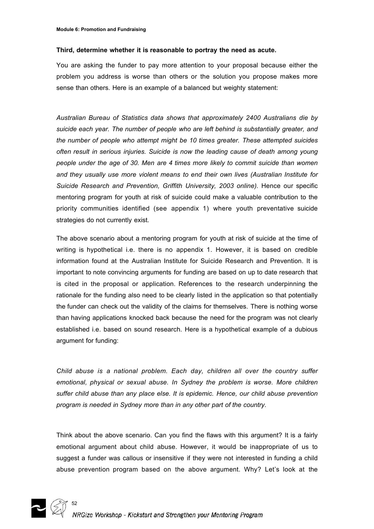#### **Third, determine whether it is reasonable to portray the need as acute.**

You are asking the funder to pay more attention to your proposal because either the problem you address is worse than others or the solution you propose makes more sense than others. Here is an example of a balanced but weighty statement:

*Australian Bureau of Statistics data shows that approximately 2400 Australians die by suicide each year. The number of people who are left behind is substantially greater, and the number of people who attempt might be 10 times greater. These attempted suicides often result in serious injuries. Suicide is now the leading cause of death among young people under the age of 30. Men are 4 times more likely to commit suicide than women and they usually use more violent means to end their own lives (Australian Institute for Suicide Research and Prevention, Griffith University, 2003 online).* Hence our specific mentoring program for youth at risk of suicide could make a valuable contribution to the priority communities identified (see appendix 1) where youth preventative suicide strategies do not currently exist.

The above scenario about a mentoring program for youth at risk of suicide at the time of writing is hypothetical i.e. there is no appendix 1. However, it is based on credible information found at the Australian Institute for Suicide Research and Prevention. It is important to note convincing arguments for funding are based on up to date research that is cited in the proposal or application. References to the research underpinning the rationale for the funding also need to be clearly listed in the application so that potentially the funder can check out the validity of the claims for themselves. There is nothing worse than having applications knocked back because the need for the program was not clearly established i.e. based on sound research. Here is a hypothetical example of a dubious argument for funding:

*Child abuse is a national problem. Each day, children all over the country suffer emotional, physical or sexual abuse. In Sydney the problem is worse. More children suffer child abuse than any place else. It is epidemic. Hence, our child abuse prevention program is needed in Sydney more than in any other part of the country.*

Think about the above scenario. Can you find the flaws with this argument? It is a fairly emotional argument about child abuse. However, it would be inappropriate of us to suggest a funder was callous or insensitive if they were not interested in funding a child abuse prevention program based on the above argument. Why? Let's look at the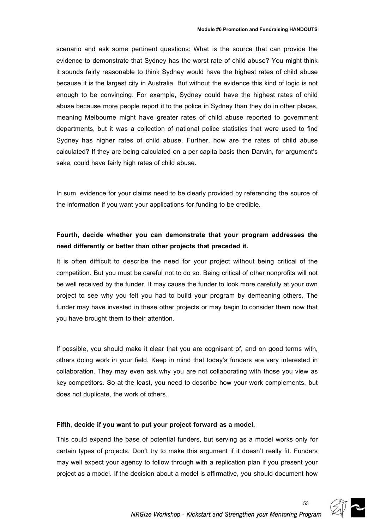scenario and ask some pertinent questions: What is the source that can provide the evidence to demonstrate that Sydney has the worst rate of child abuse? You might think it sounds fairly reasonable to think Sydney would have the highest rates of child abuse because it is the largest city in Australia. But without the evidence this kind of logic is not enough to be convincing. For example, Sydney could have the highest rates of child abuse because more people report it to the police in Sydney than they do in other places, meaning Melbourne might have greater rates of child abuse reported to government departments, but it was a collection of national police statistics that were used to find Sydney has higher rates of child abuse. Further, how are the rates of child abuse calculated? If they are being calculated on a per capita basis then Darwin, for argument's sake, could have fairly high rates of child abuse.

In sum, evidence for your claims need to be clearly provided by referencing the source of the information if you want your applications for funding to be credible.

#### **Fourth, decide whether you can demonstrate that your program addresses the need differently or better than other projects that preceded it.**

It is often difficult to describe the need for your project without being critical of the competition. But you must be careful not to do so. Being critical of other nonprofits will not be well received by the funder. It may cause the funder to look more carefully at your own project to see why you felt you had to build your program by demeaning others. The funder may have invested in these other projects or may begin to consider them now that you have brought them to their attention.

If possible, you should make it clear that you are cognisant of, and on good terms with, others doing work in your field. Keep in mind that today's funders are very interested in collaboration. They may even ask why you are not collaborating with those you view as key competitors. So at the least, you need to describe how your work complements, but does not duplicate, the work of others.

#### **Fifth, decide if you want to put your project forward as a model.**

This could expand the base of potential funders, but serving as a model works only for certain types of projects. Don't try to make this argument if it doesn't really fit. Funders may well expect your agency to follow through with a replication plan if you present your project as a model. If the decision about a model is affirmative, you should document how

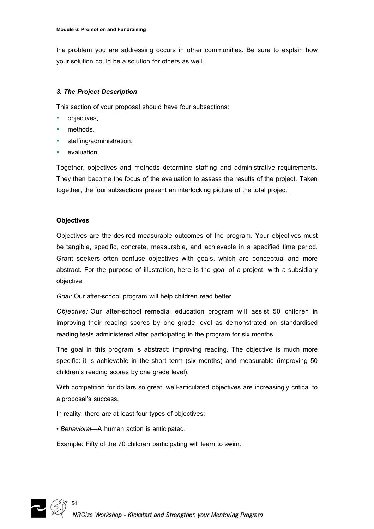the problem you are addressing occurs in other communities. Be sure to explain how your solution could be a solution for others as well.

#### *3. The Project Description*

This section of your proposal should have four subsections:

- objectives,
- methods,
- staffing/administration,
- evaluation.

Together, objectives and methods determine staffing and administrative requirements. They then become the focus of the evaluation to assess the results of the project. Taken together, the four subsections present an interlocking picture of the total project.

#### **Objectives**

Objectives are the desired measurable outcomes of the program. Your objectives must be tangible, specific, concrete, measurable, and achievable in a specified time period. Grant seekers often confuse objectives with goals, which are conceptual and more abstract. For the purpose of illustration, here is the goal of a project, with a subsidiary objective:

*Goal:* Our after-school program will help children read better.

*Objective:* Our after-school remedial education program will assist 50 children in improving their reading scores by one grade level as demonstrated on standardised reading tests administered after participating in the program for six months.

The goal in this program is abstract: improving reading. The objective is much more specific: it is achievable in the short term (six months) and measurable (improving 50 children's reading scores by one grade level).

With competition for dollars so great, well-articulated objectives are increasingly critical to a proposal's success.

In reality, there are at least four types of objectives:

*• Behavioral*—A human action is anticipated.

Example: Fifty of the 70 children participating will learn to swim.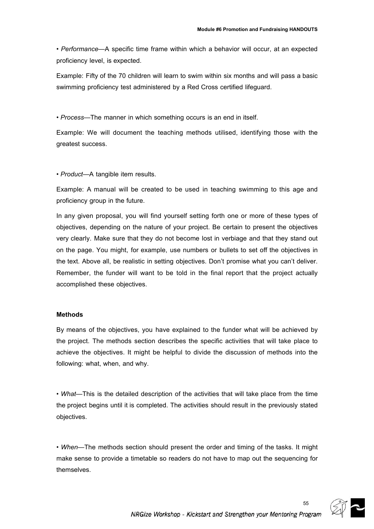*• Performance*—A specific time frame within which a behavior will occur, at an expected proficiency level, is expected.

Example: Fifty of the 70 children will learn to swim within six months and will pass a basic swimming proficiency test administered by a Red Cross certified lifeguard.

*• Process*—The manner in which something occurs is an end in itself.

Example: We will document the teaching methods utilised, identifying those with the greatest success.

*• Product*—A tangible item results.

Example: A manual will be created to be used in teaching swimming to this age and proficiency group in the future.

In any given proposal, you will find yourself setting forth one or more of these types of objectives, depending on the nature of your project. Be certain to present the objectives very clearly. Make sure that they do not become lost in verbiage and that they stand out on the page. You might, for example, use numbers or bullets to set off the objectives in the text. Above all, be realistic in setting objectives. Don't promise what you can't deliver. Remember, the funder will want to be told in the final report that the project actually accomplished these objectives.

#### **Methods**

By means of the objectives, you have explained to the funder what will be achieved by the project. The methods section describes the specific activities that will take place to achieve the objectives. It might be helpful to divide the discussion of methods into the following: what, when, and why.

*• What*—This is the detailed description of the activities that will take place from the time the project begins until it is completed. The activities should result in the previously stated objectives.

*• When*—The methods section should present the order and timing of the tasks. It might make sense to provide a timetable so readers do not have to map out the sequencing for themselves.

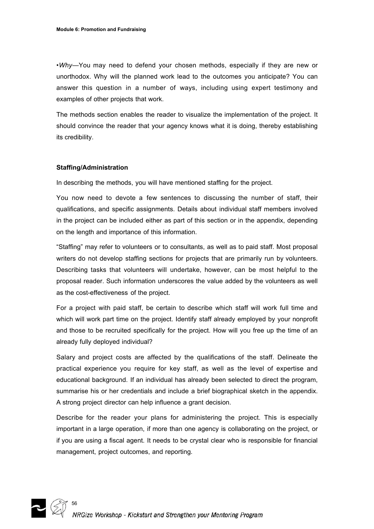*•Why*—You may need to defend your chosen methods, especially if they are new or unorthodox. Why will the planned work lead to the outcomes you anticipate? You can answer this question in a number of ways, including using expert testimony and examples of other projects that work.

The methods section enables the reader to visualize the implementation of the project. It should convince the reader that your agency knows what it is doing, thereby establishing its credibility.

#### **Staffing/Administration**

In describing the methods, you will have mentioned staffing for the project.

You now need to devote a few sentences to discussing the number of staff, their qualifications, and specific assignments. Details about individual staff members involved in the project can be included either as part of this section or in the appendix, depending on the length and importance of this information.

"Staffing" may refer to volunteers or to consultants, as well as to paid staff. Most proposal writers do not develop staffing sections for projects that are primarily run by volunteers. Describing tasks that volunteers will undertake, however, can be most helpful to the proposal reader. Such information underscores the value added by the volunteers as well as the cost-effectiveness of the project.

For a project with paid staff, be certain to describe which staff will work full time and which will work part time on the project. Identify staff already employed by your nonprofit and those to be recruited specifically for the project. How will you free up the time of an already fully deployed individual?

Salary and project costs are affected by the qualifications of the staff. Delineate the practical experience you require for key staff, as well as the level of expertise and educational background. If an individual has already been selected to direct the program, summarise his or her credentials and include a brief biographical sketch in the appendix. A strong project director can help influence a grant decision.

Describe for the reader your plans for administering the project. This is especially important in a large operation, if more than one agency is collaborating on the project, or if you are using a fiscal agent. It needs to be crystal clear who is responsible for financial management, project outcomes, and reporting.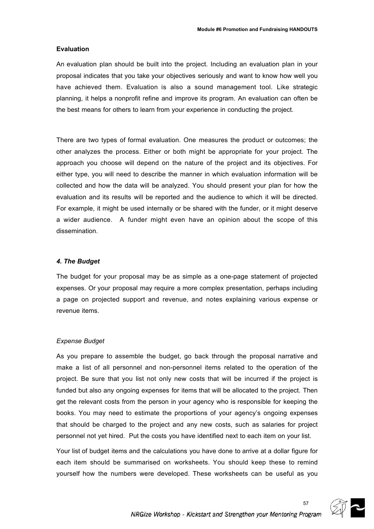#### **Evaluation**

An evaluation plan should be built into the project. Including an evaluation plan in your proposal indicates that you take your objectives seriously and want to know how well you have achieved them. Evaluation is also a sound management tool. Like strategic planning, it helps a nonprofit refine and improve its program. An evaluation can often be the best means for others to learn from your experience in conducting the project.

There are two types of formal evaluation. One measures the product or outcomes; the other analyzes the process. Either or both might be appropriate for your project. The approach you choose will depend on the nature of the project and its objectives. For either type, you will need to describe the manner in which evaluation information will be collected and how the data will be analyzed. You should present your plan for how the evaluation and its results will be reported and the audience to which it will be directed. For example, it might be used internally or be shared with the funder, or it might deserve a wider audience. A funder might even have an opinion about the scope of this dissemination.

#### *4. The Budget*

The budget for your proposal may be as simple as a one-page statement of projected expenses. Or your proposal may require a more complex presentation, perhaps including a page on projected support and revenue, and notes explaining various expense or revenue items.

#### *Expense Budget*

As you prepare to assemble the budget, go back through the proposal narrative and make a list of all personnel and non-personnel items related to the operation of the project. Be sure that you list not only new costs that will be incurred if the project is funded but also any ongoing expenses for items that will be allocated to the project. Then get the relevant costs from the person in your agency who is responsible for keeping the books. You may need to estimate the proportions of your agency's ongoing expenses that should be charged to the project and any new costs, such as salaries for project personnel not yet hired. Put the costs you have identified next to each item on your list.

Your list of budget items and the calculations you have done to arrive at a dollar figure for each item should be summarised on worksheets. You should keep these to remind yourself how the numbers were developed. These worksheets can be useful as you

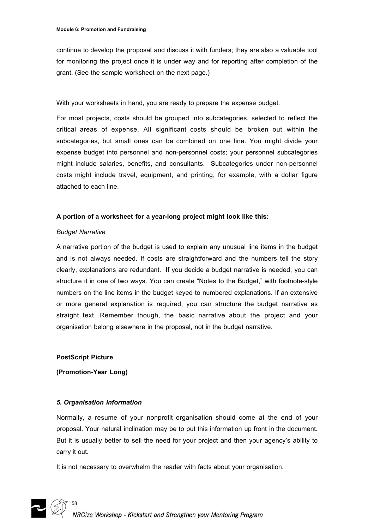continue to develop the proposal and discuss it with funders; they are also a valuable tool for monitoring the project once it is under way and for reporting after completion of the grant. (See the sample worksheet on the next page.)

With your worksheets in hand, you are ready to prepare the expense budget.

For most projects, costs should be grouped into subcategories, selected to reflect the critical areas of expense. All significant costs should be broken out within the subcategories, but small ones can be combined on one line. You might divide your expense budget into personnel and non-personnel costs; your personnel subcategories might include salaries, benefits, and consultants. Subcategories under non-personnel costs might include travel, equipment, and printing, for example, with a dollar figure attached to each line.

#### **A portion of a worksheet for a year-long project might look like this:**

#### *Budget Narrative*

A narrative portion of the budget is used to explain any unusual line items in the budget and is not always needed. If costs are straightforward and the numbers tell the story clearly, explanations are redundant. If you decide a budget narrative is needed, you can structure it in one of two ways. You can create "Notes to the Budget," with footnote-style numbers on the line items in the budget keyed to numbered explanations. If an extensive or more general explanation is required, you can structure the budget narrative as straight text. Remember though, the basic narrative about the project and your organisation belong elsewhere in the proposal, not in the budget narrative.

#### **PostScript Picture**

**(Promotion-Year Long)**

#### *5. Organisation Information*

Normally, a resume of your nonprofit organisation should come at the end of your proposal. Your natural inclination may be to put this information up front in the document. But it is usually better to sell the need for your project and then your agency's ability to carry it out.

It is not necessary to overwhelm the reader with facts about your organisation.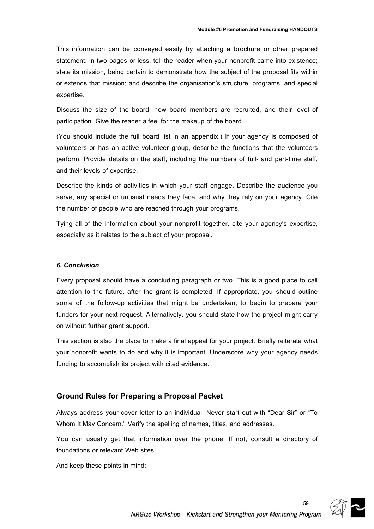This information can be conveyed easily by attaching a brochure or other prepared statement. In two pages or less, tell the reader when your nonprofit came into existence; state its mission, being certain to demonstrate how the subject of the proposal fits within or extends that mission; and describe the organisation's structure, programs, and special expertise.

Discuss the size of the board, how board members are recruited, and their level of participation. Give the reader a feel for the makeup of the board.

(You should include the full board list in an appendix.) If your agency is composed of volunteers or has an active volunteer group, describe the functions that the volunteers perform. Provide details on the staff, including the numbers of full- and part-time staff, and their levels of expertise.

Describe the kinds of activities in which your staff engage. Describe the audience you serve, any special or unusual needs they face, and why they rely on your agency. Cite the number of people who are reached through your programs.

Tying all of the information about your nonprofit together, cite your agency's expertise, especially as it relates to the subject of your proposal.

#### *6. Conclusion*

Every proposal should have a concluding paragraph or two. This is a good place to call attention to the future, after the grant is completed. If appropriate, you should outline some of the follow-up activities that might be undertaken, to begin to prepare your funders for your next request. Alternatively, you should state how the project might carry on without further grant support.

This section is also the place to make a final appeal for your project. Briefly reiterate what your nonprofit wants to do and why it is important. Underscore why your agency needs funding to accomplish its project with cited evidence.

#### **Ground Rules for Preparing a Proposal Packet**

Always address your cover letter to an individual. Never start out with "Dear Sir" or "To Whom It May Concern." Verify the spelling of names, titles, and addresses.

You can usually get that information over the phone. If not, consult a directory of foundations or relevant Web sites.

And keep these points in mind:



NRGize Workshop - Kickstart and Strengthen your Mentoring Program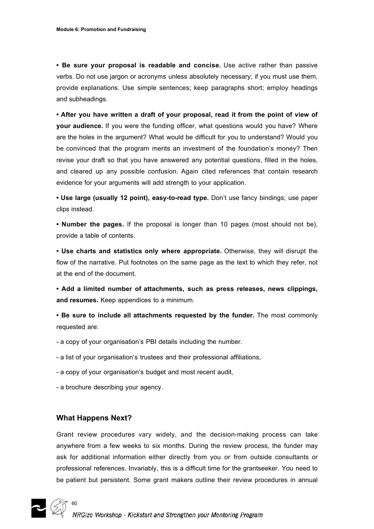**• Be sure your proposal is readable and concise.** Use active rather than passive verbs. Do not use jargon or acronyms unless absolutely necessary; if you must use them, provide explanations. Use simple sentences; keep paragraphs short; employ headings and subheadings.

**• After you have written a draft of your proposal, read it from the point of view of your audience.** If you were the funding officer, what questions would you have? Where are the holes in the argument? What would be difficult for you to understand? Would you be convinced that the program merits an investment of the foundation's money? Then revise your draft so that you have answered any potential questions, filled in the holes, and cleared up any possible confusion. Again cited references that contain research evidence for your arguments will add strength to your application.

**• Use large (usually 12 point), easy-to-read type.** Don't use fancy bindings; use paper clips instead.

**• Number the pages.** If the proposal is longer than 10 pages (most should not be), provide a table of contents.

**• Use charts and statistics only where appropriate.** Otherwise, they will disrupt the flow of the narrative. Put footnotes on the same page as the text to which they refer, not at the end of the document.

**• Add a limited number of attachments, such as press releases, news clippings, and resumes.** Keep appendices to a minimum.

**• Be sure to include all attachments requested by the funder.** The most commonly requested are:

- a copy of your organisation's PBI details including the number.
- a list of your organisation's trustees and their professional affiliations,
- a copy of your organisation's budget and most recent audit,
- a brochure describing your agency.

#### **What Happens Next?**

Grant review procedures vary widely, and the decision-making process can take anywhere from a few weeks to six months. During the review process, the funder may ask for additional information either directly from you or from outside consultants or professional references. Invariably, this is a difficult time for the grantseeker. You need to be patient but persistent. Some grant makers outline their review procedures in annual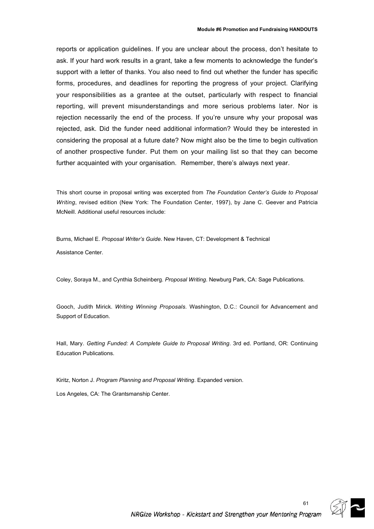reports or application guidelines. If you are unclear about the process, don't hesitate to ask. If your hard work results in a grant, take a few moments to acknowledge the funder's support with a letter of thanks. You also need to find out whether the funder has specific forms, procedures, and deadlines for reporting the progress of your project. Clarifying your responsibilities as a grantee at the outset, particularly with respect to financial reporting, will prevent misunderstandings and more serious problems later. Nor is rejection necessarily the end of the process. If you're unsure why your proposal was rejected, ask. Did the funder need additional information? Would they be interested in considering the proposal at a future date? Now might also be the time to begin cultivation of another prospective funder. Put them on your mailing list so that they can become further acquainted with your organisation. Remember, there's always next year.

This short course in proposal writing was excerpted from *The Foundation Center's Guide to Proposal Writing*, revised edition (New York: The Foundation Center, 1997), by Jane C. Geever and Patricia McNeill. Additional useful resources include:

Burns, Michael E. *Proposal Writer's Guide*. New Haven, CT: Development & Technical Assistance Center.

Coley, Soraya M., and Cynthia Scheinberg. *Proposal Writing*. Newburg Park, CA: Sage Publications.

Gooch, Judith Mirick. *Writing Winning Proposals*. Washington, D.C.: Council for Advancement and Support of Education.

Hall, Mary. *Getting Funded: A Complete Guide to Proposal Writing*. 3rd ed. Portland, OR: Continuing Education Publications.

Kiritz, Norton J. *Program Planning and Proposal Writing*. Expanded version.

Los Angeles, CA: The Grantsmanship Center.



61